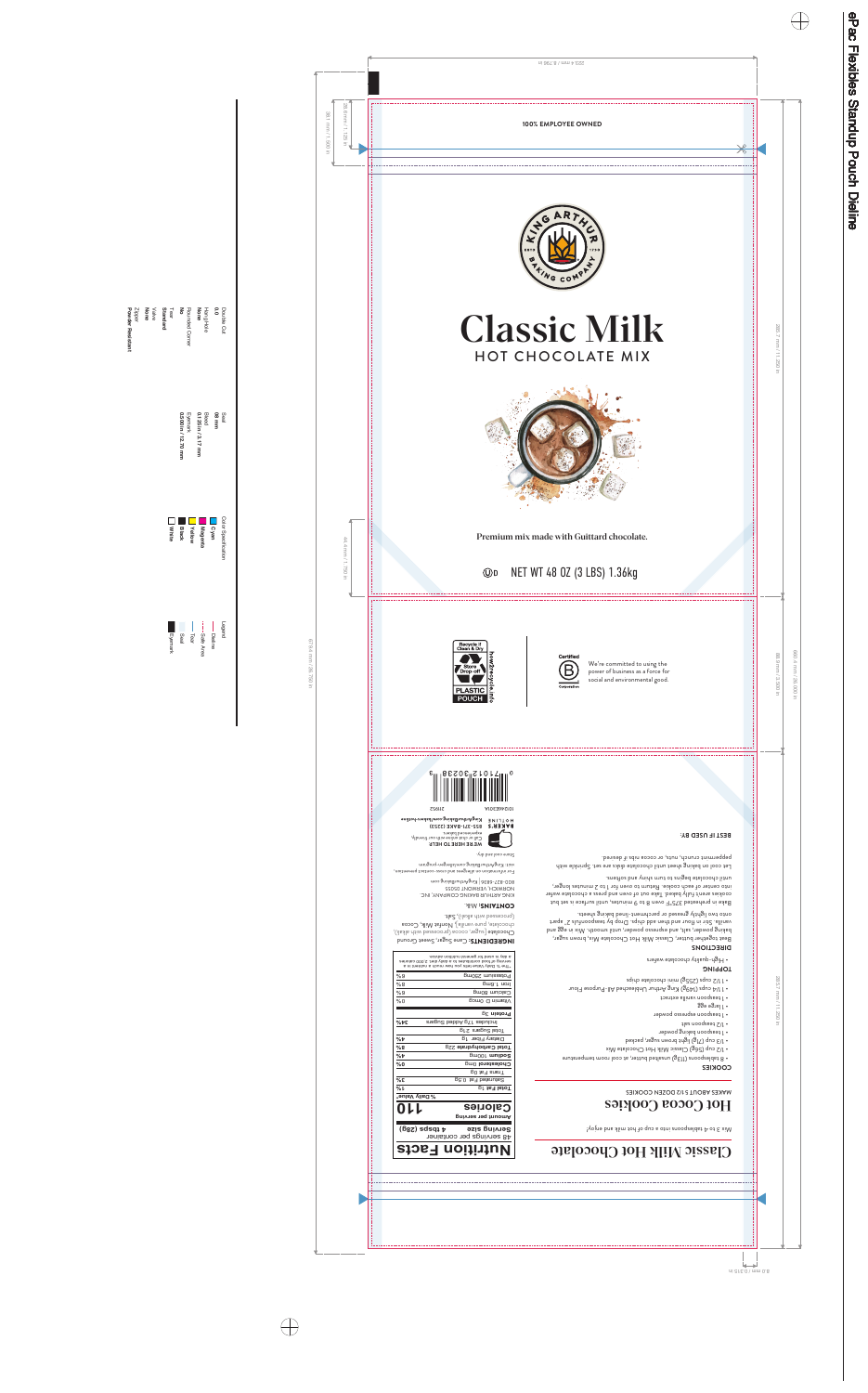

# **Classic Milk** HOT CHOCOLATE MIX



Premium mix made with Guittard chocolate.